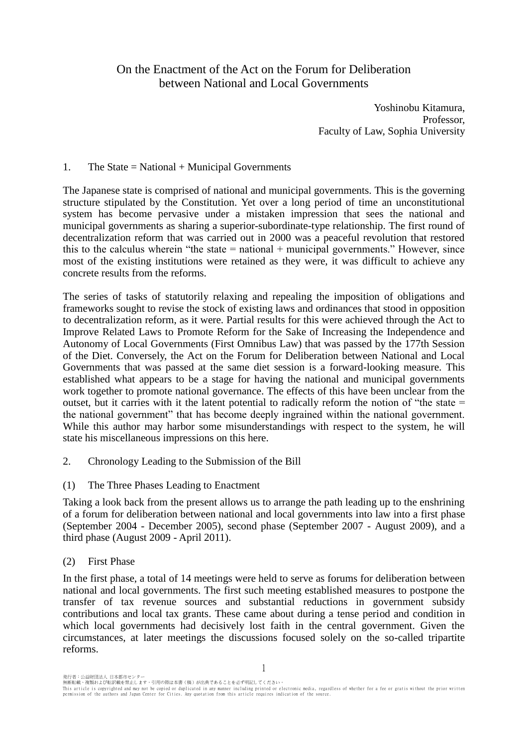# On the Enactment of the Act on the Forum for Deliberation between National and Local Governments

Yoshinobu Kitamura, Professor, Faculty of Law, Sophia University

# 1. The State  $=$  National  $+$  Municipal Governments

The Japanese state is comprised of national and municipal governments. This is the governing structure stipulated by the Constitution. Yet over a long period of time an unconstitutional system has become pervasive under a mistaken impression that sees the national and municipal governments as sharing a superior-subordinate-type relationship. The first round of decentralization reform that was carried out in 2000 was a peaceful revolution that restored this to the calculus wherein "the state  $=$  national  $+$  municipal governments." However, since most of the existing institutions were retained as they were, it was difficult to achieve any concrete results from the reforms.

The series of tasks of statutorily relaxing and repealing the imposition of obligations and frameworks sought to revise the stock of existing laws and ordinances that stood in opposition to decentralization reform, as it were. Partial results for this were achieved through the Act to Improve Related Laws to Promote Reform for the Sake of Increasing the Independence and Autonomy of Local Governments (First Omnibus Law) that was passed by the 177th Session of the Diet. Conversely, the Act on the Forum for Deliberation between National and Local Governments that was passed at the same diet session is a forward-looking measure. This established what appears to be a stage for having the national and municipal governments work together to promote national governance. The effects of this have been unclear from the outset, but it carries with it the latent potential to radically reform the notion of "the state = the national government" that has become deeply ingrained within the national government. While this author may harbor some misunderstandings with respect to the system, he will state his miscellaneous impressions on this here.

- 2. Chronology Leading to the Submission of the Bill
- (1) The Three Phases Leading to Enactment

Taking a look back from the present allows us to arrange the path leading up to the enshrining of a forum for deliberation between national and local governments into law into a first phase (September 2004 - December 2005), second phase (September 2007 - August 2009), and a third phase (August 2009 - April 2011).

### (2) First Phase

In the first phase, a total of 14 meetings were held to serve as forums for deliberation between national and local governments. The first such meeting established measures to postpone the transfer of tax revenue sources and substantial reductions in government subsidy contributions and local tax grants. These came about during a tense period and condition in which local governments had decisively lost faith in the central government. Given the circumstances, at later meetings the discussions focused solely on the so-called tripartite reforms.

無断転載・複製および転訳載を禁止します。引用の際は本書(稿)が出典であることを必ず明記してください。<br>This article is copyrighted and may not be copied or duplicated in any manner including printed or electronic media, regardless of whether for a fee or gratis without th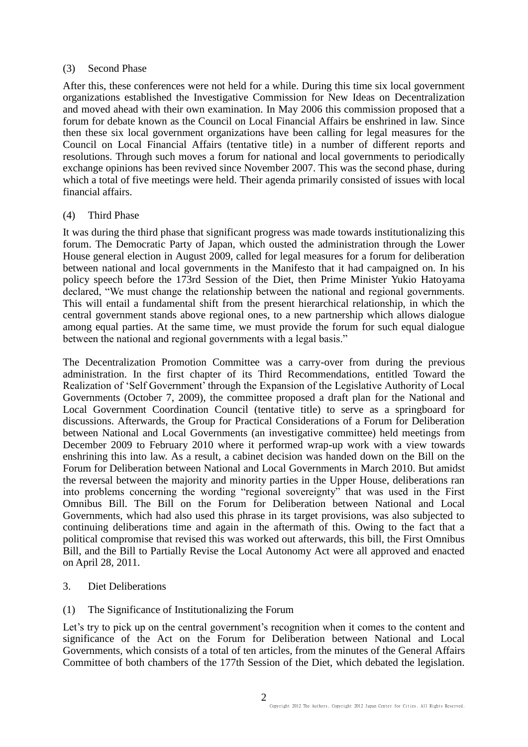### (3) Second Phase

After this, these conferences were not held for a while. During this time six local government organizations established the Investigative Commission for New Ideas on Decentralization and moved ahead with their own examination. In May 2006 this commission proposed that a forum for debate known as the Council on Local Financial Affairs be enshrined in law. Since then these six local government organizations have been calling for legal measures for the Council on Local Financial Affairs (tentative title) in a number of different reports and resolutions. Through such moves a forum for national and local governments to periodically exchange opinions has been revived since November 2007. This was the second phase, during which a total of five meetings were held. Their agenda primarily consisted of issues with local financial affairs.

# (4) Third Phase

It was during the third phase that significant progress was made towards institutionalizing this forum. The Democratic Party of Japan, which ousted the administration through the Lower House general election in August 2009, called for legal measures for a forum for deliberation between national and local governments in the Manifesto that it had campaigned on. In his policy speech before the 173rd Session of the Diet, then Prime Minister Yukio Hatoyama declared, "We must change the relationship between the national and regional governments. This will entail a fundamental shift from the present hierarchical relationship, in which the central government stands above regional ones, to a new partnership which allows dialogue among equal parties. At the same time, we must provide the forum for such equal dialogue between the national and regional governments with a legal basis."

The Decentralization Promotion Committee was a carry-over from during the previous administration. In the first chapter of its Third Recommendations, entitled Toward the Realization of 'Self Government' through the Expansion of the Legislative Authority of Local Governments (October 7, 2009), the committee proposed a draft plan for the National and Local Government Coordination Council (tentative title) to serve as a springboard for discussions. Afterwards, the Group for Practical Considerations of a Forum for Deliberation between National and Local Governments (an investigative committee) held meetings from December 2009 to February 2010 where it performed wrap-up work with a view towards enshrining this into law. As a result, a cabinet decision was handed down on the Bill on the Forum for Deliberation between National and Local Governments in March 2010. But amidst the reversal between the majority and minority parties in the Upper House, deliberations ran into problems concerning the wording "regional sovereignty" that was used in the First Omnibus Bill. The Bill on the Forum for Deliberation between National and Local Governments, which had also used this phrase in its target provisions, was also subjected to continuing deliberations time and again in the aftermath of this. Owing to the fact that a political compromise that revised this was worked out afterwards, this bill, the First Omnibus Bill, and the Bill to Partially Revise the Local Autonomy Act were all approved and enacted on April 28, 2011.

3. Diet Deliberations

# (1) The Significance of Institutionalizing the Forum

Let's try to pick up on the central government's recognition when it comes to the content and significance of the Act on the Forum for Deliberation between National and Local Governments, which consists of a total of ten articles, from the minutes of the General Affairs Committee of both chambers of the 177th Session of the Diet, which debated the legislation.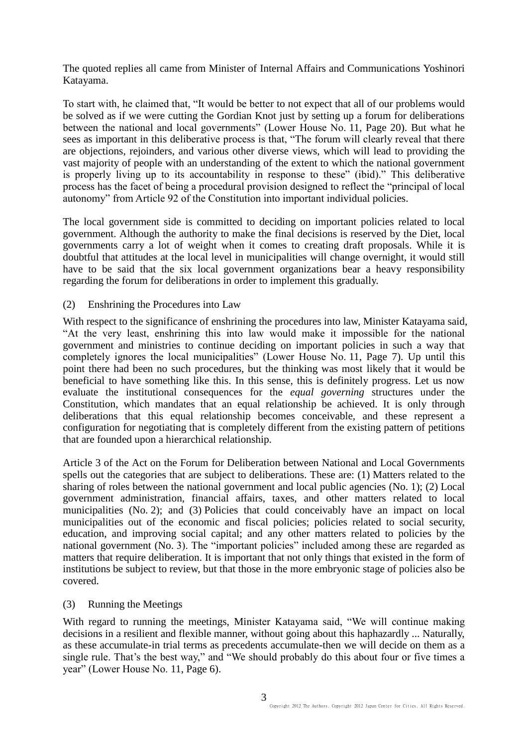The quoted replies all came from Minister of Internal Affairs and Communications Yoshinori Katayama.

To start with, he claimed that, "It would be better to not expect that all of our problems would be solved as if we were cutting the Gordian Knot just by setting up a forum for deliberations between the national and local governments" (Lower House No. 11, Page 20). But what he sees as important in this deliberative process is that, "The forum will clearly reveal that there are objections, rejoinders, and various other diverse views, which will lead to providing the vast majority of people with an understanding of the extent to which the national government is properly living up to its accountability in response to these" (ibid)." This deliberative process has the facet of being a procedural provision designed to reflect the "principal of local autonomy" from Article 92 of the Constitution into important individual policies.

The local government side is committed to deciding on important policies related to local government. Although the authority to make the final decisions is reserved by the Diet, local governments carry a lot of weight when it comes to creating draft proposals. While it is doubtful that attitudes at the local level in municipalities will change overnight, it would still have to be said that the six local government organizations bear a heavy responsibility regarding the forum for deliberations in order to implement this gradually.

### (2) Enshrining the Procedures into Law

With respect to the significance of enshrining the procedures into law, Minister Katayama said, "At the very least, enshrining this into law would make it impossible for the national government and ministries to continue deciding on important policies in such a way that completely ignores the local municipalities" (Lower House No. 11, Page 7). Up until this point there had been no such procedures, but the thinking was most likely that it would be beneficial to have something like this. In this sense, this is definitely progress. Let us now evaluate the institutional consequences for the *equal governing* structures under the Constitution, which mandates that an equal relationship be achieved. It is only through deliberations that this equal relationship becomes conceivable, and these represent a configuration for negotiating that is completely different from the existing pattern of petitions that are founded upon a hierarchical relationship.

Article 3 of the Act on the Forum for Deliberation between National and Local Governments spells out the categories that are subject to deliberations. These are: (1) Matters related to the sharing of roles between the national government and local public agencies (No. 1); (2) Local government administration, financial affairs, taxes, and other matters related to local municipalities (No. 2); and (3) Policies that could conceivably have an impact on local municipalities out of the economic and fiscal policies; policies related to social security, education, and improving social capital; and any other matters related to policies by the national government (No. 3). The "important policies" included among these are regarded as matters that require deliberation. It is important that not only things that existed in the form of institutions be subject to review, but that those in the more embryonic stage of policies also be covered.

### (3) Running the Meetings

With regard to running the meetings, Minister Katayama said, "We will continue making decisions in a resilient and flexible manner, without going about this haphazardly ... Naturally, as these accumulate-in trial terms as precedents accumulate-then we will decide on them as a single rule. That's the best way," and "We should probably do this about four or five times a year" (Lower House No. 11, Page 6).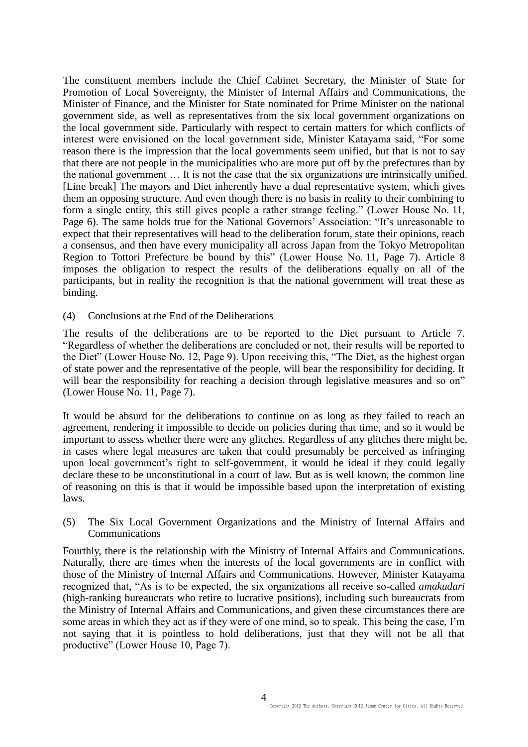The constituent members include the Chief Cabinet Secretary, the Minister of State for Promotion of Local Sovereignty, the Minister of Internal Affairs and Communications, the Minister of Finance, and the Minister for State nominated for Prime Minister on the national government side, as well as representatives from the six local government organizations on the local government side. Particularly with respect to certain matters for which conflicts of interest were envisioned on the local government side, Minister Katayama said, "For some reason there is the impression that the local governments seem unified, but that is not to say that there are not people in the municipalities who are more put off by the prefectures than by the national government … It is not the case that the six organizations are intrinsically unified. [Line break] The mayors and Diet inherently have a dual representative system, which gives them an opposing structure. And even though there is no basis in reality to their combining to form a single entity, this still gives people a rather strange feeling." (Lower House No. 11, Page 6). The same holds true for the National Governors' Association: "It's unreasonable to expect that their representatives will head to the deliberation forum, state their opinions, reach a consensus, and then have every municipality all across Japan from the Tokyo Metropolitan Region to Tottori Prefecture be bound by this" (Lower House No. 11, Page 7). Article 8 imposes the obligation to respect the results of the deliberations equally on all of the participants, but in reality the recognition is that the national government will treat these as binding.

(4) Conclusions at the End of the Deliberations

The results of the deliberations are to be reported to the Diet pursuant to Article 7. "Regardless of whether the deliberations are concluded or not, their results will be reported to the Diet" (Lower House No. 12, Page 9). Upon receiving this, "The Diet, as the highest organ of state power and the representative of the people, will bear the responsibility for deciding. It will bear the responsibility for reaching a decision through legislative measures and so on" (Lower House No. 11, Page 7).

It would be absurd for the deliberations to continue on as long as they failed to reach an agreement, rendering it impossible to decide on policies during that time, and so it would be important to assess whether there were any glitches. Regardless of any glitches there might be, in cases where legal measures are taken that could presumably be perceived as infringing upon local government's right to self-government, it would be ideal if they could legally declare these to be unconstitutional in a court of law. But as is well known, the common line of reasoning on this is that it would be impossible based upon the interpretation of existing laws.

(5) The Six Local Government Organizations and the Ministry of Internal Affairs and Communications

Fourthly, there is the relationship with the Ministry of Internal Affairs and Communications. Naturally, there are times when the interests of the local governments are in conflict with those of the Ministry of Internal Affairs and Communications. However, Minister Katayama recognized that, "As is to be expected, the six organizations all receive so-called *amakudari* (high-ranking bureaucrats who retire to lucrative positions), including such bureaucrats from the Ministry of Internal Affairs and Communications, and given these circumstances there are some areas in which they act as if they were of one mind, so to speak. This being the case, I'm not saying that it is pointless to hold deliberations, just that they will not be all that productive" (Lower House 10, Page 7).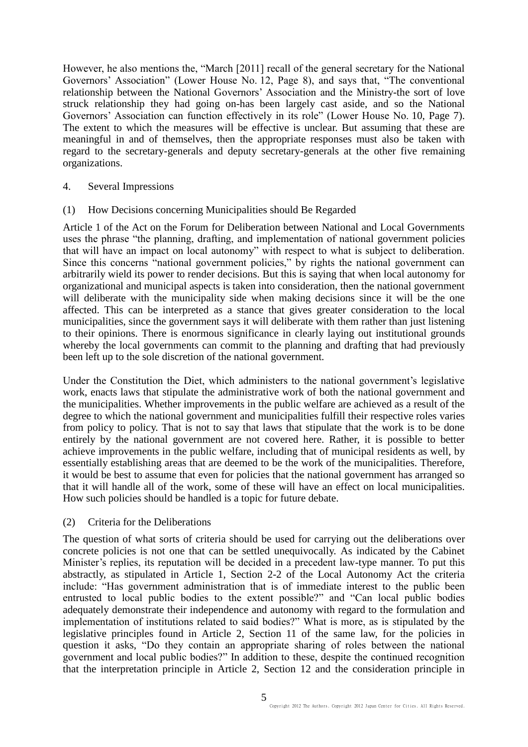However, he also mentions the, "March [2011] recall of the general secretary for the National Governors' Association" (Lower House No. 12, Page 8), and says that, "The conventional relationship between the National Governors' Association and the Ministry-the sort of love struck relationship they had going on-has been largely cast aside, and so the National Governors' Association can function effectively in its role" (Lower House No. 10, Page 7). The extent to which the measures will be effective is unclear. But assuming that these are meaningful in and of themselves, then the appropriate responses must also be taken with regard to the secretary-generals and deputy secretary-generals at the other five remaining organizations.

- 4. Several Impressions
- (1) How Decisions concerning Municipalities should Be Regarded

Article 1 of the Act on the Forum for Deliberation between National and Local Governments uses the phrase "the planning, drafting, and implementation of national government policies that will have an impact on local autonomy" with respect to what is subject to deliberation. Since this concerns "national government policies," by rights the national government can arbitrarily wield its power to render decisions. But this is saying that when local autonomy for organizational and municipal aspects is taken into consideration, then the national government will deliberate with the municipality side when making decisions since it will be the one affected. This can be interpreted as a stance that gives greater consideration to the local municipalities, since the government says it will deliberate with them rather than just listening to their opinions. There is enormous significance in clearly laying out institutional grounds whereby the local governments can commit to the planning and drafting that had previously been left up to the sole discretion of the national government.

Under the Constitution the Diet, which administers to the national government's legislative work, enacts laws that stipulate the administrative work of both the national government and the municipalities. Whether improvements in the public welfare are achieved as a result of the degree to which the national government and municipalities fulfill their respective roles varies from policy to policy. That is not to say that laws that stipulate that the work is to be done entirely by the national government are not covered here. Rather, it is possible to better achieve improvements in the public welfare, including that of municipal residents as well, by essentially establishing areas that are deemed to be the work of the municipalities. Therefore, it would be best to assume that even for policies that the national government has arranged so that it will handle all of the work, some of these will have an effect on local municipalities. How such policies should be handled is a topic for future debate.

(2) Criteria for the Deliberations

The question of what sorts of criteria should be used for carrying out the deliberations over concrete policies is not one that can be settled unequivocally. As indicated by the Cabinet Minister's replies, its reputation will be decided in a precedent law-type manner. To put this abstractly, as stipulated in Article 1, Section 2-2 of the Local Autonomy Act the criteria include: "Has government administration that is of immediate interest to the public been entrusted to local public bodies to the extent possible?" and "Can local public bodies adequately demonstrate their independence and autonomy with regard to the formulation and implementation of institutions related to said bodies?" What is more, as is stipulated by the legislative principles found in Article 2, Section 11 of the same law, for the policies in question it asks, "Do they contain an appropriate sharing of roles between the national government and local public bodies?" In addition to these, despite the continued recognition that the interpretation principle in Article 2, Section 12 and the consideration principle in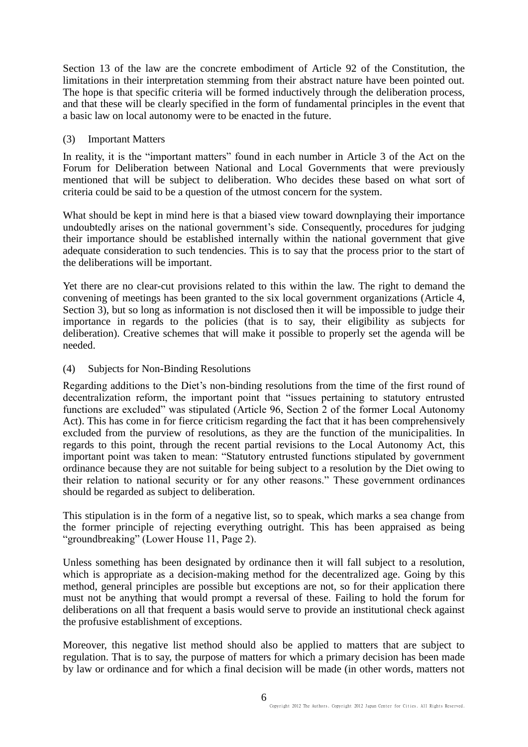Section 13 of the law are the concrete embodiment of Article 92 of the Constitution, the limitations in their interpretation stemming from their abstract nature have been pointed out. The hope is that specific criteria will be formed inductively through the deliberation process, and that these will be clearly specified in the form of fundamental principles in the event that a basic law on local autonomy were to be enacted in the future.

### (3) Important Matters

In reality, it is the "important matters" found in each number in Article 3 of the Act on the Forum for Deliberation between National and Local Governments that were previously mentioned that will be subject to deliberation. Who decides these based on what sort of criteria could be said to be a question of the utmost concern for the system.

What should be kept in mind here is that a biased view toward downplaying their importance undoubtedly arises on the national government's side. Consequently, procedures for judging their importance should be established internally within the national government that give adequate consideration to such tendencies. This is to say that the process prior to the start of the deliberations will be important.

Yet there are no clear-cut provisions related to this within the law. The right to demand the convening of meetings has been granted to the six local government organizations (Article 4, Section 3), but so long as information is not disclosed then it will be impossible to judge their importance in regards to the policies (that is to say, their eligibility as subjects for deliberation). Creative schemes that will make it possible to properly set the agenda will be needed.

# (4) Subjects for Non-Binding Resolutions

Regarding additions to the Diet's non-binding resolutions from the time of the first round of decentralization reform, the important point that "issues pertaining to statutory entrusted functions are excluded" was stipulated (Article 96, Section 2 of the former Local Autonomy Act). This has come in for fierce criticism regarding the fact that it has been comprehensively excluded from the purview of resolutions, as they are the function of the municipalities. In regards to this point, through the recent partial revisions to the Local Autonomy Act, this important point was taken to mean: "Statutory entrusted functions stipulated by government ordinance because they are not suitable for being subject to a resolution by the Diet owing to their relation to national security or for any other reasons." These government ordinances should be regarded as subject to deliberation.

This stipulation is in the form of a negative list, so to speak, which marks a sea change from the former principle of rejecting everything outright. This has been appraised as being "groundbreaking" (Lower House 11, Page 2).

Unless something has been designated by ordinance then it will fall subject to a resolution, which is appropriate as a decision-making method for the decentralized age. Going by this method, general principles are possible but exceptions are not, so for their application there must not be anything that would prompt a reversal of these. Failing to hold the forum for deliberations on all that frequent a basis would serve to provide an institutional check against the profusive establishment of exceptions.

Moreover, this negative list method should also be applied to matters that are subject to regulation. That is to say, the purpose of matters for which a primary decision has been made by law or ordinance and for which a final decision will be made (in other words, matters not